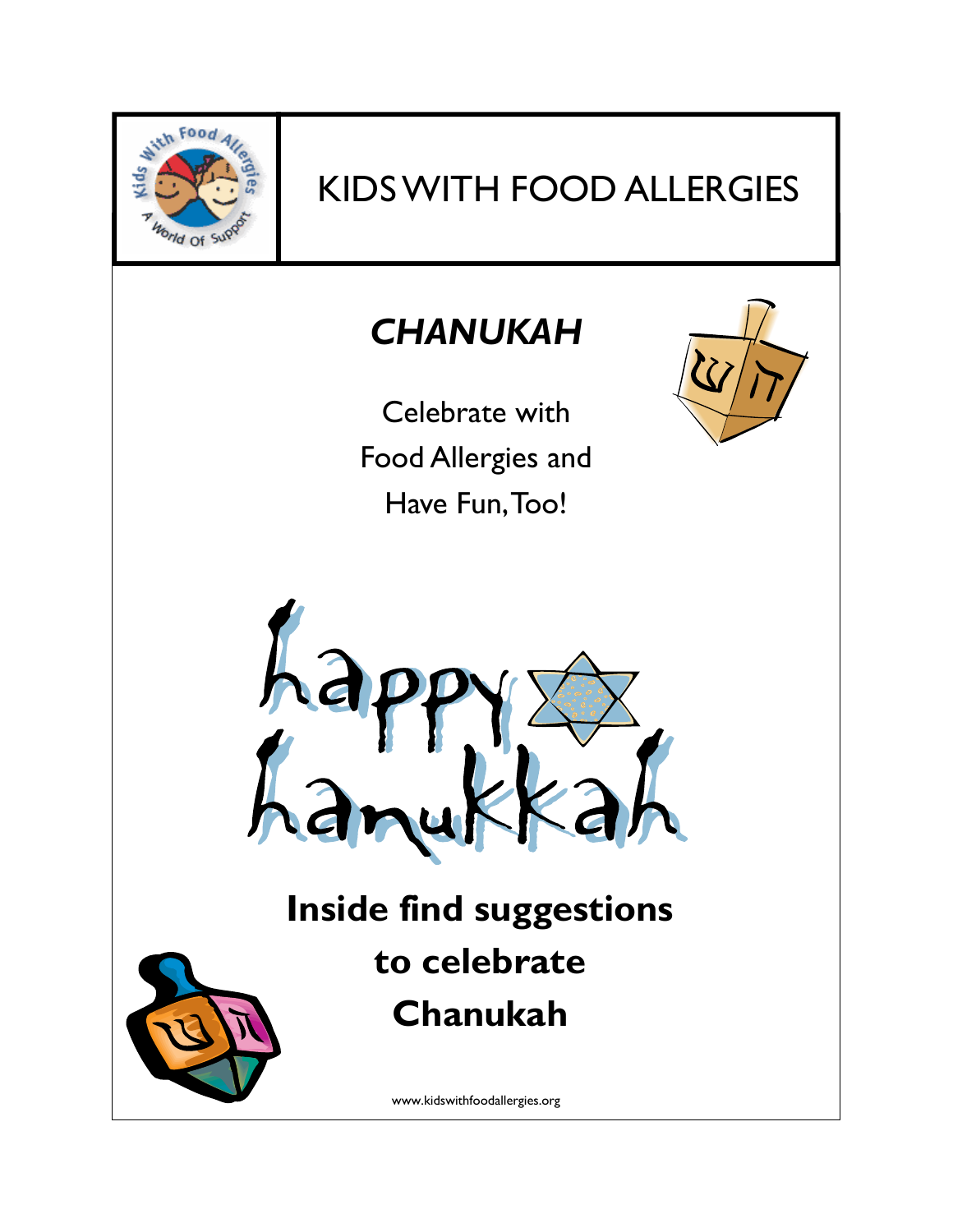

# KIDS WITH FOOD ALLERGIES

## *CHANUKAH*

Celebrate with Food Allergies and Have Fun, Too!





# **Inside find suggestions to celebrate Chanukah**

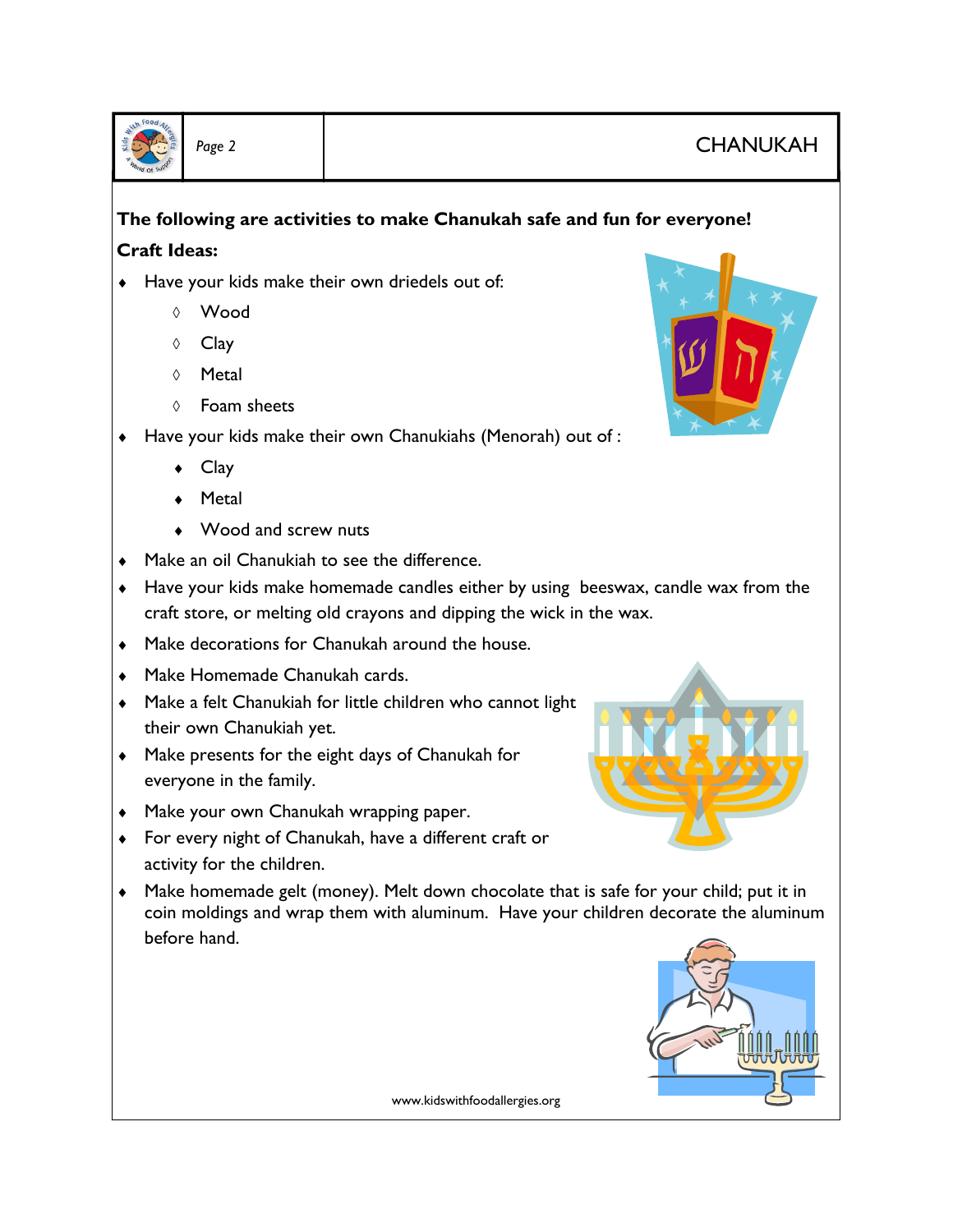

## Page 2 **CHANUKAH**

### **The following are activities to make Chanukah safe and fun for everyone! Craft Ideas:**

- ♦ Have your kids make their own driedels out of:
	- ◊ Wood
	- ◊ Clay
	- ◊ Metal
	- ◊ Foam sheets
- ♦ Have your kids make their own Chanukiahs (Menorah) out of :
	- Clay
	- Metal
	- Wood and screw nuts
- ♦ Make an oil Chanukiah to see the difference.
- ♦ Have your kids make homemade candles either by using beeswax, candle wax from the craft store, or melting old crayons and dipping the wick in the wax.
- ♦ Make decorations for Chanukah around the house.
- ♦ Make Homemade Chanukah cards.
- ♦ Make a felt Chanukiah for little children who cannot light their own Chanukiah yet.
- ♦ Make presents for the eight days of Chanukah for everyone in the family.
- ♦ Make your own Chanukah wrapping paper.
- ♦ For every night of Chanukah, have a different craft or activity for the children.
- ♦ Make homemade gelt (money). Melt down chocolate that is safe for your child; put it in coin moldings and wrap them with aluminum. Have your children decorate the aluminum before hand.



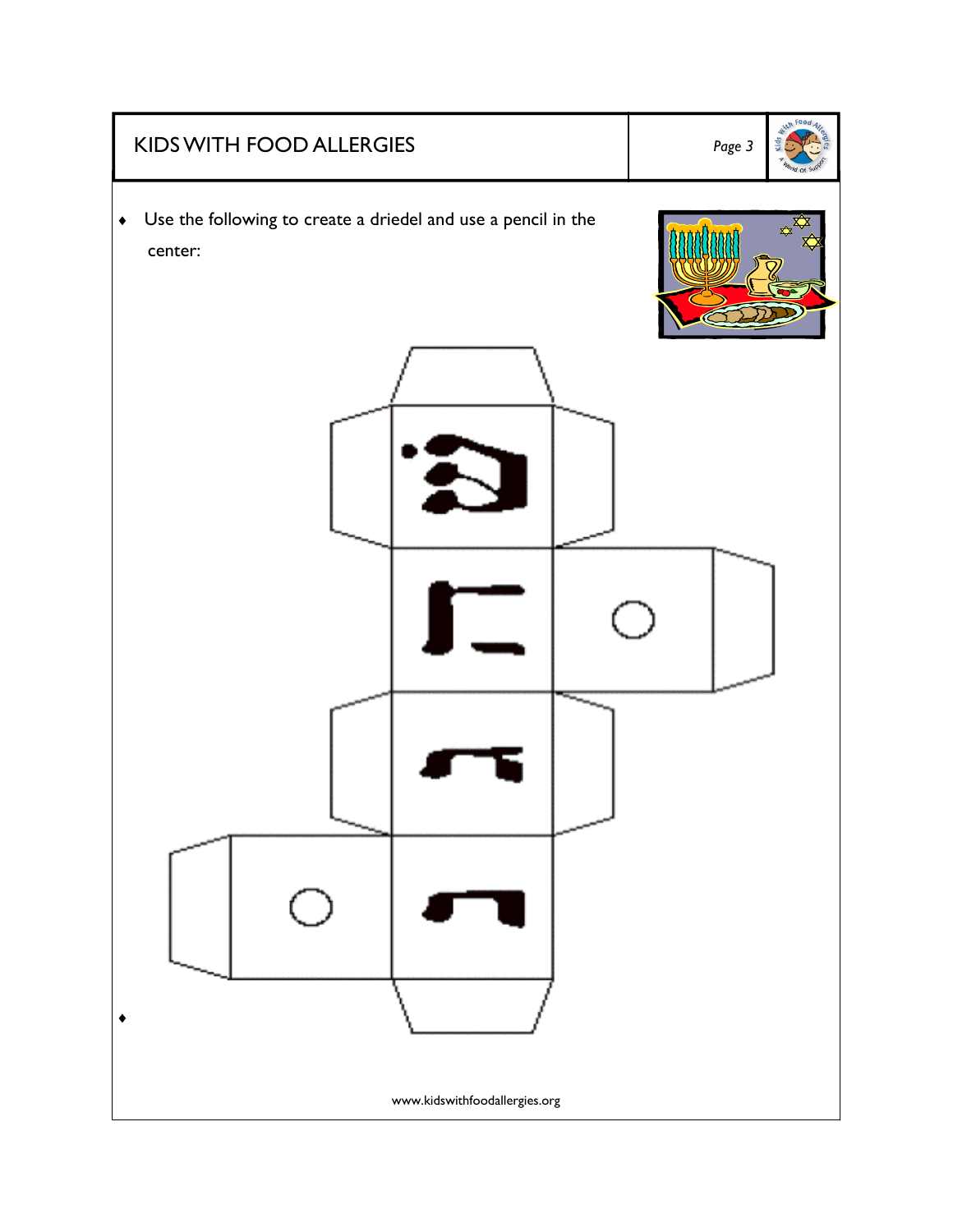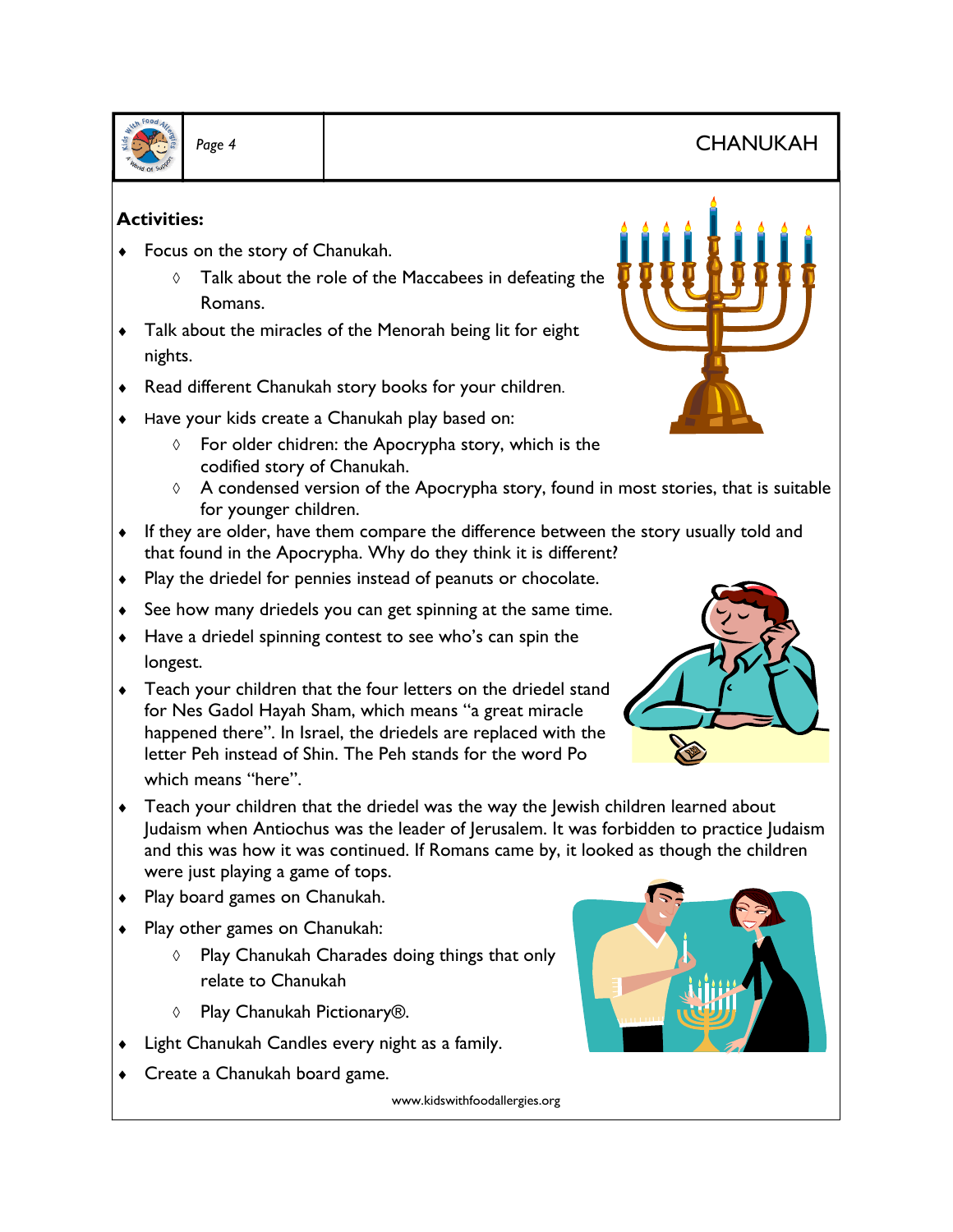

## *Page 4* CHANUKAH

#### **Activities:**

- ♦ Focus on the story of Chanukah.
	- ◊ Talk about the role of the Maccabees in defeating the Romans.
- ♦ Talk about the miracles of the Menorah being lit for eight nights.
- ♦ Read different Chanukah story books for your children.
- ♦ Have your kids create a Chanukah play based on:
	- ◊ For older chidren: the Apocrypha story, which is the codified story of Chanukah.
	- $\Diamond$  A condensed version of the Apocrypha story, found in most stories, that is suitable for younger children.
- ♦ If they are older, have them compare the difference between the story usually told and that found in the Apocrypha. Why do they think it is different?
- ♦ Play the driedel for pennies instead of peanuts or chocolate.
- ♦ See how many driedels you can get spinning at the same time.
- ♦ Have a driedel spinning contest to see who's can spin the longest.
- ♦ Teach your children that the four letters on the driedel stand for Nes Gadol Hayah Sham, which means "a great miracle happened there". In Israel, the driedels are replaced with the letter Peh instead of Shin. The Peh stands for the word Po which means "here".
- ♦ Teach your children that the driedel was the way the Jewish children learned about Judaism when Antiochus was the leader of Jerusalem. It was forbidden to practice Judaism and this was how it was continued. If Romans came by, it looked as though the children were just playing a game of tops.
- ♦ Play board games on Chanukah.
- ♦ Play other games on Chanukah:
	- ◊ Play Chanukah Charades doing things that only relate to Chanukah
	- ◊ Play Chanukah Pictionary®.
- Light Chanukah Candles every night as a family.
- Create a Chanukah board game.



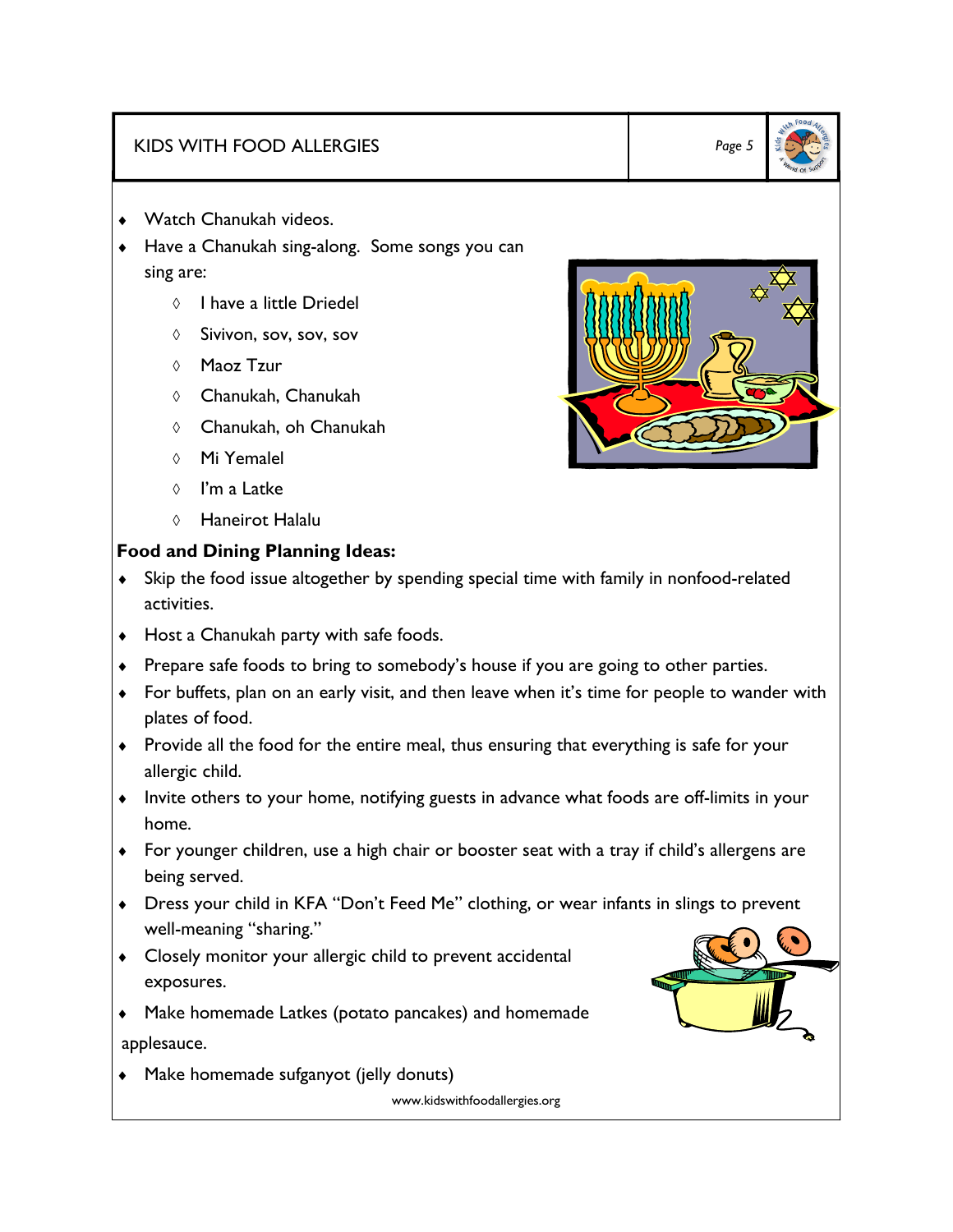### KIDS WITH FOOD ALLERGIES *Page 5*

- ♦ Watch Chanukah videos.
- Have a Chanukah sing-along. Some songs you can sing are:
	- ◊ I have a little Driedel
	- ◊ Sivivon, sov, sov, sov
	- ◊ Maoz Tzur
	- ◊ Chanukah, Chanukah
	- ◊ Chanukah, oh Chanukah
	- ◊ Mi Yemalel
	- ◊ I'm a Latke
	- ◊ Haneirot Halalu

#### **Food and Dining Planning Ideas:**

- ♦ Skip the food issue altogether by spending special time with family in nonfood-related activities.
- ♦ Host a Chanukah party with safe foods.
- ♦ Prepare safe foods to bring to somebody's house if you are going to other parties.
- ♦ For buffets, plan on an early visit, and then leave when it's time for people to wander with plates of food.
- ♦ Provide all the food for the entire meal, thus ensuring that everything is safe for your allergic child.
- ♦ Invite others to your home, notifying guests in advance what foods are off-limits in your home.
- ♦ For younger children, use a high chair or booster seat with a tray if child's allergens are being served.
- ♦ Dress your child in KFA "Don't Feed Me" clothing, or wear infants in slings to prevent well-meaning "sharing."
- ♦ Closely monitor your allergic child to prevent accidental exposures.
- ♦ Make homemade Latkes (potato pancakes) and homemade applesauce.
- ♦ Make homemade sufganyot (jelly donuts)



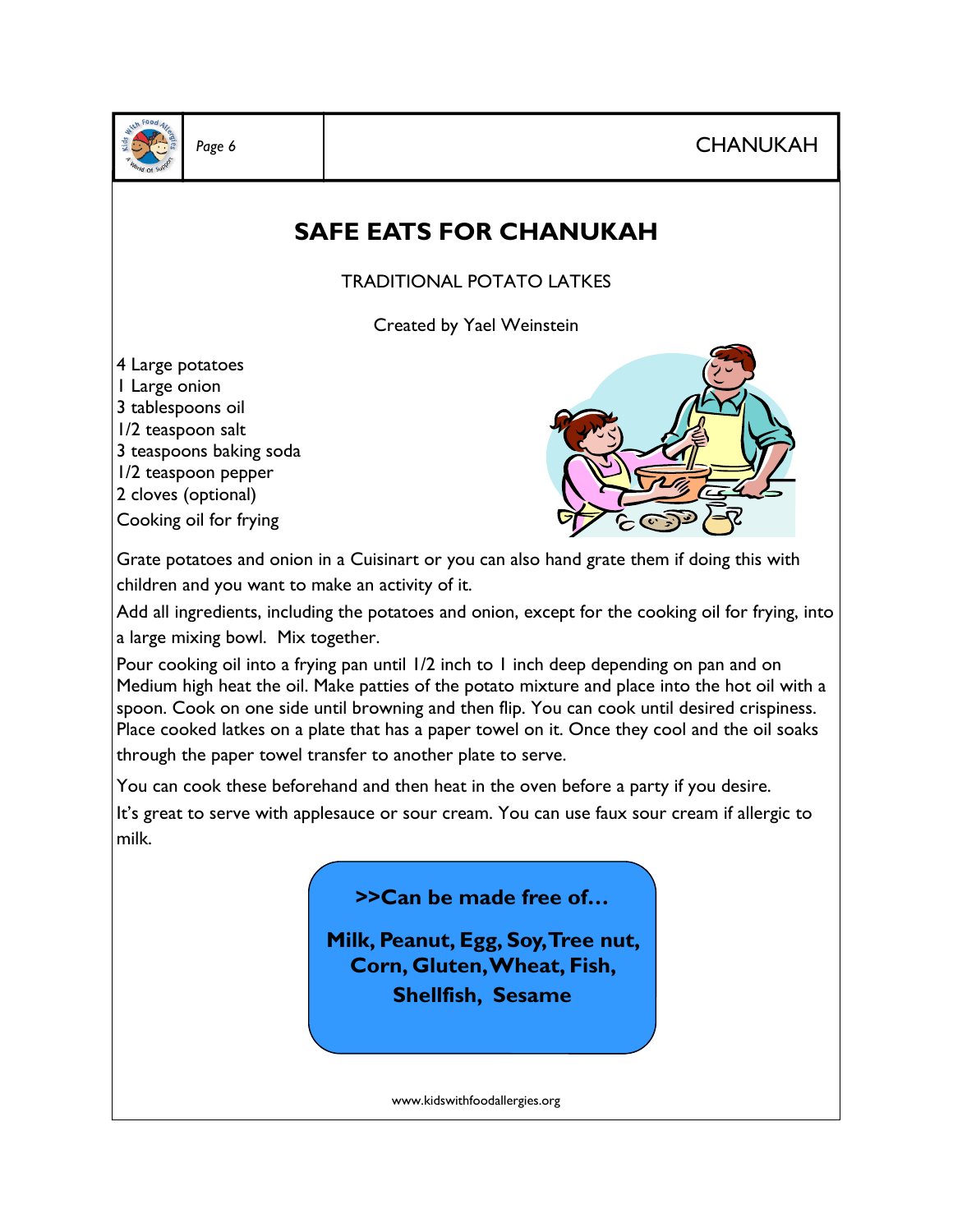Page 6 **CHANUKAH** 



## **SAFE EATS FOR CHANUKAH**

TRADITIONAL POTATO LATKES

Created by Yael Weinstein

4 Large potatoes 1 Large onion 3 tablespoons oil 1/2 teaspoon salt 3 teaspoons baking soda 1/2 teaspoon pepper 2 cloves (optional)

Cooking oil for frying



Grate potatoes and onion in a Cuisinart or you can also hand grate them if doing this with children and you want to make an activity of it.

Add all ingredients, including the potatoes and onion, except for the cooking oil for frying, into a large mixing bowl. Mix together.

Pour cooking oil into a frying pan until 1/2 inch to 1 inch deep depending on pan and on Medium high heat the oil. Make patties of the potato mixture and place into the hot oil with a spoon. Cook on one side until browning and then flip. You can cook until desired crispiness. Place cooked latkes on a plate that has a paper towel on it. Once they cool and the oil soaks through the paper towel transfer to another plate to serve.

You can cook these beforehand and then heat in the oven before a party if you desire.

It's great to serve with applesauce or sour cream. You can use faux sour cream if allergic to milk.



**Milk, Peanut, Egg, Soy, Tree nut, Corn, Gluten, Wheat, Fish, Shellfish, Sesame**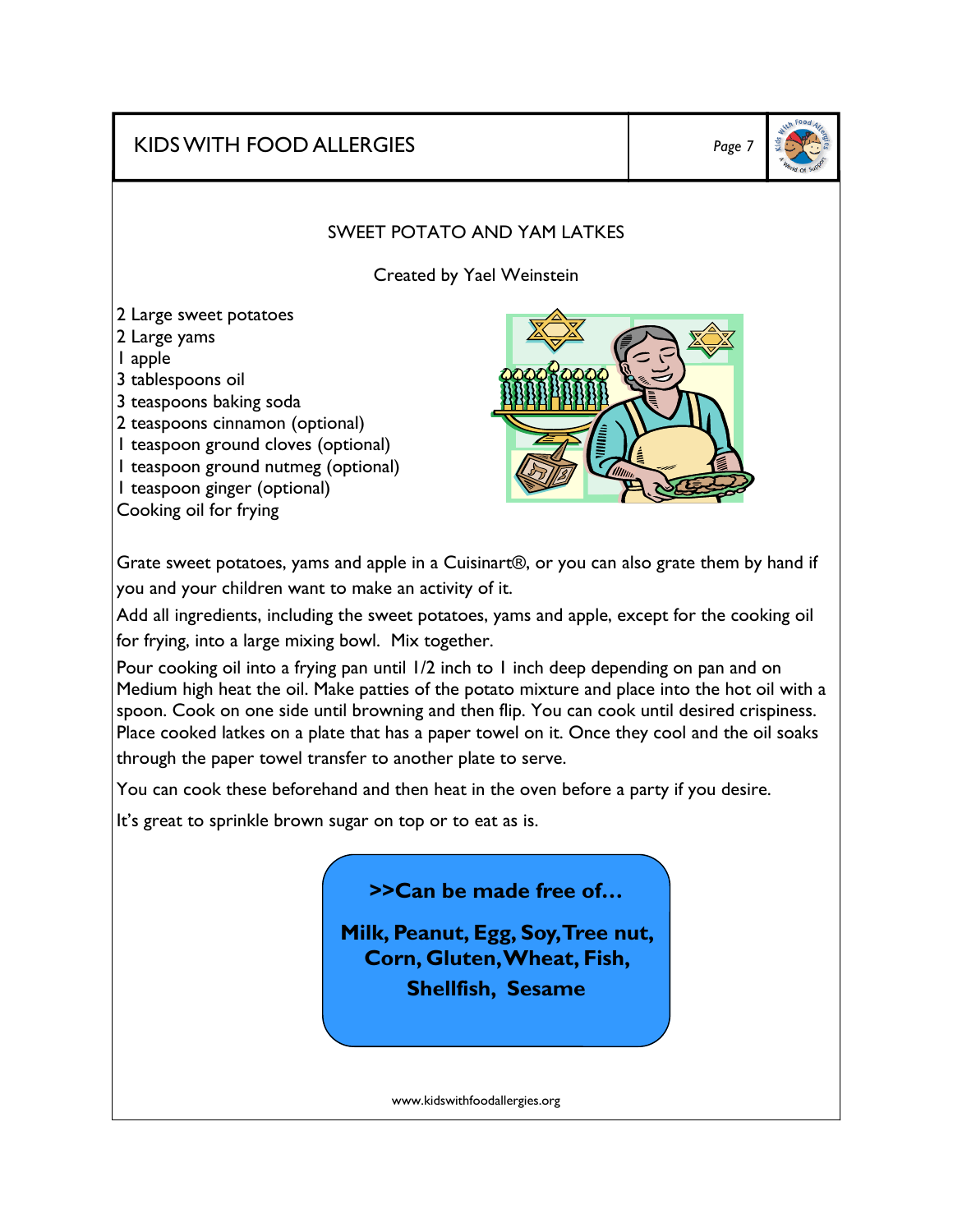KIDS WITH FOOD ALLERGIES *Page 7* 



#### SWEET POTATO AND YAM LATKES

Created by Yael Weinstein

2 Large sweet potatoes 2 Large yams 1 apple 3 tablespoons oil 3 teaspoons baking soda 2 teaspoons cinnamon (optional) 1 teaspoon ground cloves (optional) 1 teaspoon ground nutmeg (optional) 1 teaspoon ginger (optional) Cooking oil for frying



Grate sweet potatoes, yams and apple in a Cuisinart®, or you can also grate them by hand if you and your children want to make an activity of it.

Add all ingredients, including the sweet potatoes, yams and apple, except for the cooking oil for frying, into a large mixing bowl. Mix together.

Pour cooking oil into a frying pan until 1/2 inch to 1 inch deep depending on pan and on Medium high heat the oil. Make patties of the potato mixture and place into the hot oil with a spoon. Cook on one side until browning and then flip. You can cook until desired crispiness. Place cooked latkes on a plate that has a paper towel on it. Once they cool and the oil soaks through the paper towel transfer to another plate to serve.

You can cook these beforehand and then heat in the oven before a party if you desire.

It's great to sprinkle brown sugar on top or to eat as is.

**>>Can be made free of…** 

**Milk, Peanut, Egg, Soy, Tree nut, Corn, Gluten, Wheat, Fish, Shellfish, Sesame**